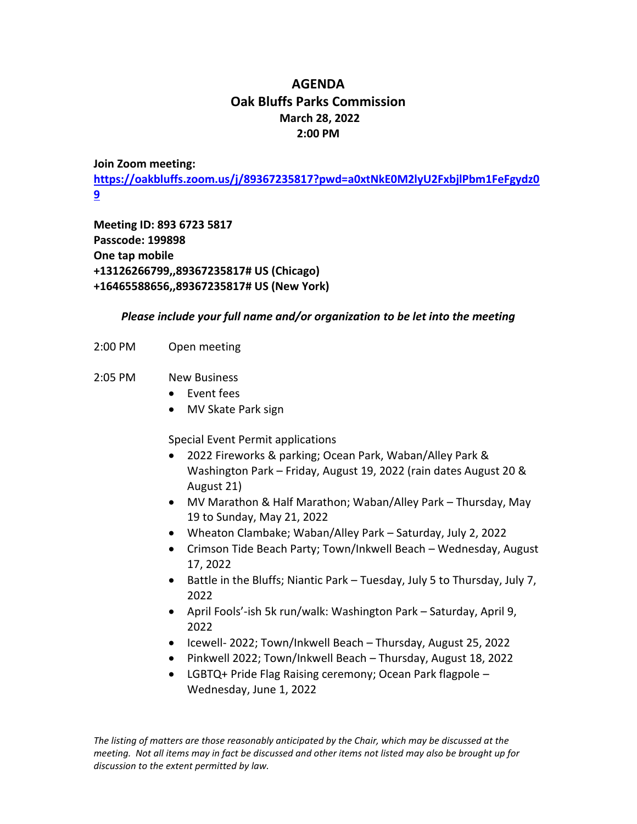## **AGENDA Oak Bluffs Parks Commission March 28, 2022 2:00 PM**

## **Join Zoom meeting:**

**[https://oakbluffs.zoom.us/j/89367235817?pwd=a0xtNkE0M2lyU2FxbjlPbm1FeFgydz0](https://oakbluffs.zoom.us/j/89367235817?pwd=a0xtNkE0M2lyU2FxbjlPbm1FeFgydz09) [9](https://oakbluffs.zoom.us/j/89367235817?pwd=a0xtNkE0M2lyU2FxbjlPbm1FeFgydz09)**

**Meeting ID: 893 6723 5817 Passcode: 199898 One tap mobile +13126266799,,89367235817# US (Chicago) +16465588656,,89367235817# US (New York)**

## *Please include your full name and/or organization to be let into the meeting*

2:00 PM Open meeting

## 2:05 PM New Business

- Event fees
- MV Skate Park sign

Special Event Permit applications

- 2022 Fireworks & parking; Ocean Park, Waban/Alley Park & Washington Park – Friday, August 19, 2022 (rain dates August 20 & August 21)
- MV Marathon & Half Marathon; Waban/Alley Park Thursday, May 19 to Sunday, May 21, 2022
- Wheaton Clambake; Waban/Alley Park Saturday, July 2, 2022
- Crimson Tide Beach Party; Town/Inkwell Beach Wednesday, August 17, 2022
- Battle in the Bluffs; Niantic Park Tuesday, July 5 to Thursday, July 7, 2022
- April Fools'-ish 5k run/walk: Washington Park Saturday, April 9, 2022
- Icewell- 2022; Town/Inkwell Beach Thursday, August 25, 2022
- Pinkwell 2022; Town/Inkwell Beach Thursday, August 18, 2022
- LGBTQ+ Pride Flag Raising ceremony; Ocean Park flagpole Wednesday, June 1, 2022

*The listing of matters are those reasonably anticipated by the Chair, which may be discussed at the meeting. Not all items may in fact be discussed and other items not listed may also be brought up for discussion to the extent permitted by law.*